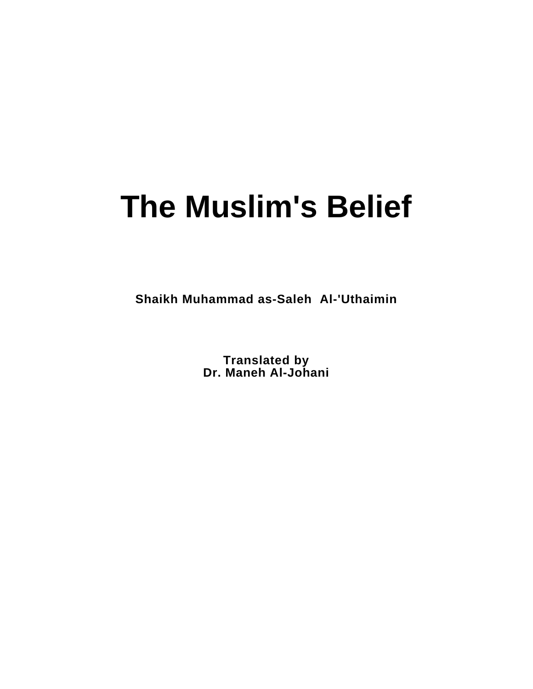# **The Muslim's Belief**

**Shaikh Muhammad as-Saleh Al-'Uthaimin**

**Translated by Dr. Maneh Al-Johani**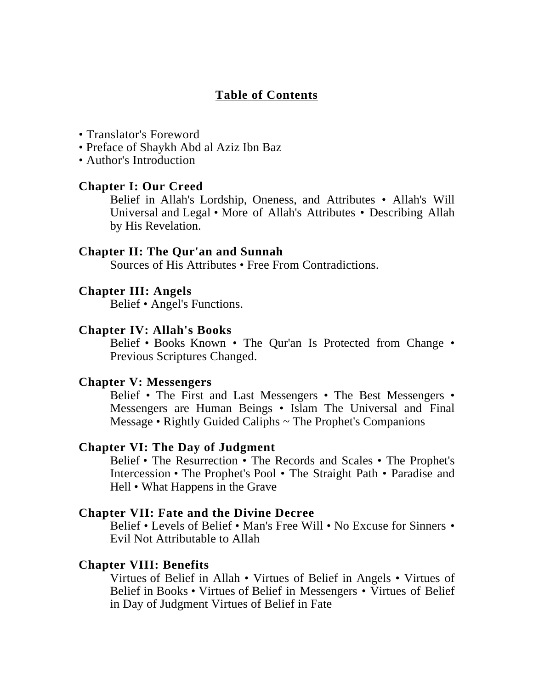#### **Table of Contents**

- Translator's Foreword
- Preface of Shaykh Abd al Aziz Ibn Baz
- Author's Introduction

#### **Chapter I: Our Creed**

Belief in Allah's Lordship, Oneness, and Attributes • Allah's Will Universal and Legal • More of Allah's Attributes • Describing Allah by His Revelation.

#### **Chapter II: The Qur'an and Sunnah**

Sources of His Attributes • Free From Contradictions.

#### **Chapter III: Angels**

Belief • Angel's Functions.

#### **Chapter IV: Allah's Books**

Belief • Books Known • The Qur'an Is Protected from Change • Previous Scriptures Changed.

#### **Chapter V: Messengers**

Belief • The First and Last Messengers • The Best Messengers • Messengers are Human Beings • Islam The Universal and Final Message • Rightly Guided Caliphs ~ The Prophet's Companions

#### **Chapter VI: The Day of Judgment**

Belief • The Resurrection • The Records and Scales • The Prophet's Intercession • The Prophet's Pool • The Straight Path • Paradise and Hell • What Happens in the Grave

#### **Chapter VII: Fate and the Divine Decree**

Belief • Levels of Belief • Man's Free Will • No Excuse for Sinners • Evil Not Attributable to Allah

#### **Chapter VIII: Benefits**

Virtues of Belief in Allah • Virtues of Belief in Angels • Virtues of Belief in Books • Virtues of Belief in Messengers • Virtues of Belief in Day of Judgment Virtues of Belief in Fate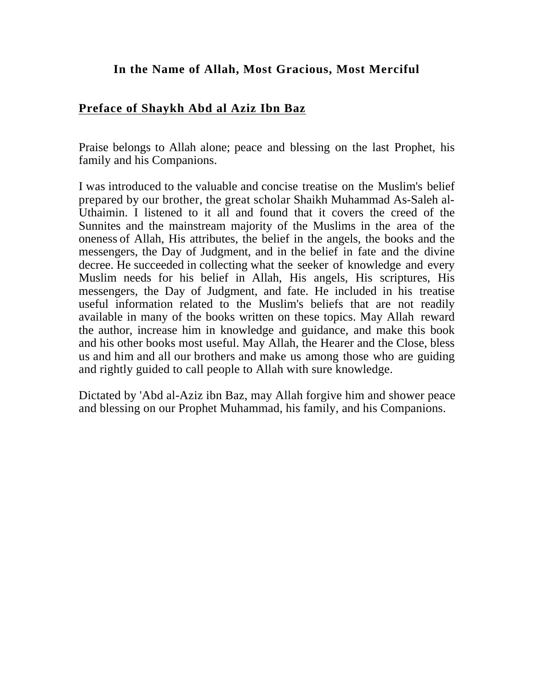#### **In the Name of Allah, Most Gracious, Most Merciful**

#### **Preface of Shaykh Abd al Aziz Ibn Baz**

Praise belongs to Allah alone; peace and blessing on the last Prophet, his family and his Companions.

I was introduced to the valuable and concise treatise on the Muslim's belief prepared by our brother, the great scholar Shaikh Muhammad As-Saleh al-Uthaimin. I listened to it all and found that it covers the creed of the Sunnites and the mainstream majority of the Muslims in the area of the oneness of Allah, His attributes, the belief in the angels, the books and the messengers, the Day of Judgment, and in the belief in fate and the divine decree. He succeeded in collecting what the seeker of knowledge and every Muslim needs for his belief in Allah, His angels, His scriptures, His messengers, the Day of Judgment, and fate. He included in his treatise useful information related to the Muslim's beliefs that are not readily available in many of the books written on these topics. May Allah reward the author, increase him in knowledge and guidance, and make this book and his other books most useful. May Allah, the Hearer and the Close, bless us and him and all our brothers and make us among those who are guiding and rightly guided to call people to Allah with sure knowledge.

Dictated by 'Abd al-Aziz ibn Baz, may Allah forgive him and shower peace and blessing on our Prophet Muhammad, his family, and his Companions.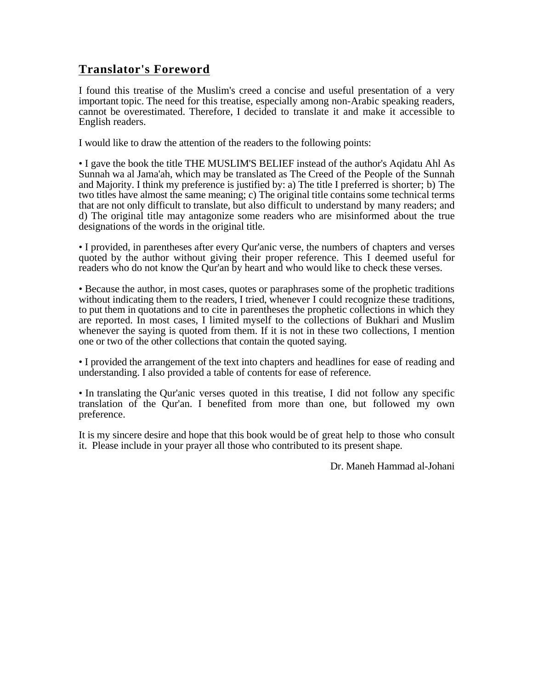## **Translator's Foreword**

I found this treatise of the Muslim's creed a concise and useful presentation of a very important topic. The need for this treatise, especially among non-Arabic speaking readers, cannot be overestimated. Therefore, I decided to translate it and make it accessible to English readers.

I would like to draw the attention of the readers to the following points:

• I gave the book the title THE MUSLIM'S BELIEF instead of the author's Aqidatu Ahl As Sunnah wa al Jama'ah, which may be translated as The Creed of the People of the Sunnah and Majority. I think my preference is justified by: a) The title I preferred is shorter; b) The two titles have almost the same meaning; c) The original title contains some technical terms that are not only difficult to translate, but also difficult to understand by many readers; and d) The original title may antagonize some readers who are misinformed about the true designations of the words in the original title.

• I provided, in parentheses after every Qur'anic verse, the numbers of chapters and verses quoted by the author without giving their proper reference. This I deemed useful for readers who do not know the Qur'an by heart and who would like to check these verses.

• Because the author, in most cases, quotes or paraphrases some of the prophetic traditions without indicating them to the readers, I tried, whenever I could recognize these traditions, to put them in quotations and to cite in parentheses the prophetic collections in which they are reported. In most cases, I limited myself to the collections of Bukhari and Muslim whenever the saying is quoted from them. If it is not in these two collections, I mention one or two of the other collections that contain the quoted saying.

• I provided the arrangement of the text into chapters and headlines for ease of reading and understanding. I also provided a table of contents for ease of reference.

• In translating the Qur'anic verses quoted in this treatise, I did not follow any specific translation of the Qur'an. I benefited from more than one, but followed my own preference.

It is my sincere desire and hope that this book would be of great help to those who consult it. Please include in your prayer all those who contributed to its present shape.

Dr. Maneh Hammad al-Johani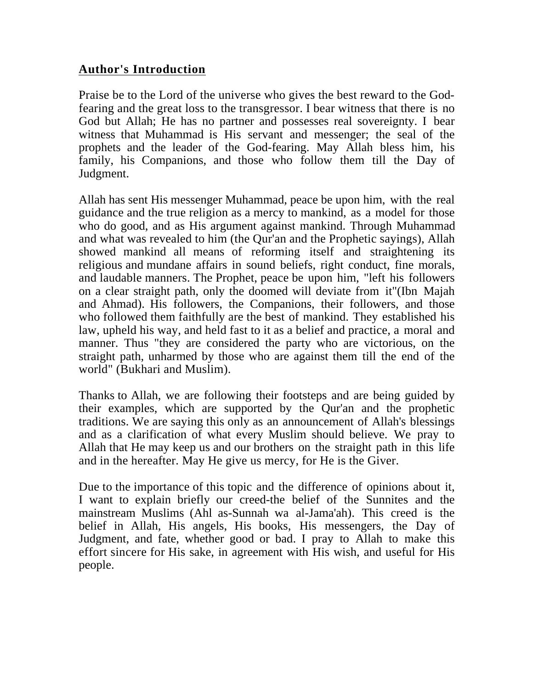#### **Author's Introduction**

Praise be to the Lord of the universe who gives the best reward to the Godfearing and the great loss to the transgressor. I bear witness that there is no God but Allah; He has no partner and possesses real sovereignty. I bear witness that Muhammad is His servant and messenger; the seal of the prophets and the leader of the God-fearing. May Allah bless him, his family, his Companions, and those who follow them till the Day of Judgment.

Allah has sent His messenger Muhammad, peace be upon him, with the real guidance and the true religion as a mercy to mankind, as a model for those who do good, and as His argument against mankind. Through Muhammad and what was revealed to him (the Qur'an and the Prophetic sayings), Allah showed mankind all means of reforming itself and straightening its religious and mundane affairs in sound beliefs, right conduct, fine morals, and laudable manners. The Prophet, peace be upon him, "left his followers on a clear straight path, only the doomed will deviate from it"(Ibn Majah and Ahmad). His followers, the Companions, their followers, and those who followed them faithfully are the best of mankind. They established his law, upheld his way, and held fast to it as a belief and practice, a moral and manner. Thus "they are considered the party who are victorious, on the straight path, unharmed by those who are against them till the end of the world" (Bukhari and Muslim).

Thanks to Allah, we are following their footsteps and are being guided by their examples, which are supported by the Qur'an and the prophetic traditions. We are saying this only as an announcement of Allah's blessings and as a clarification of what every Muslim should believe. We pray to Allah that He may keep us and our brothers on the straight path in this life and in the hereafter. May He give us mercy, for He is the Giver.

Due to the importance of this topic and the difference of opinions about it, I want to explain briefly our creed-the belief of the Sunnites and the mainstream Muslims (Ahl as-Sunnah wa al-Jama'ah). This creed is the belief in Allah, His angels, His books, His messengers, the Day of Judgment, and fate, whether good or bad. I pray to Allah to make this effort sincere for His sake, in agreement with His wish, and useful for His people.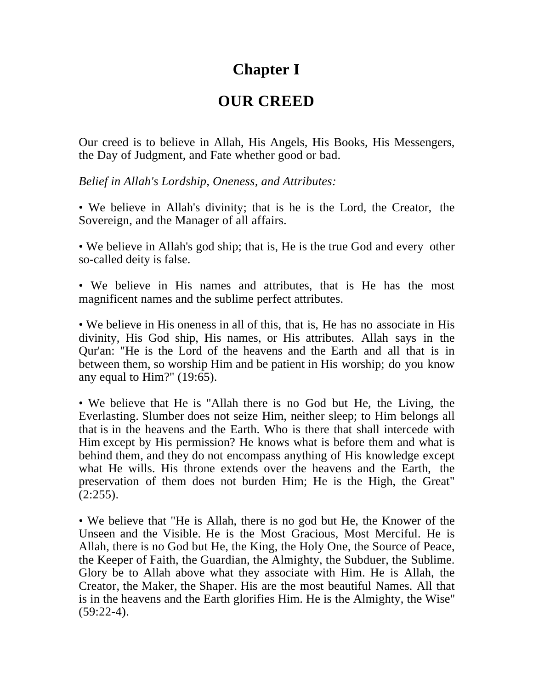# **Chapter I**

## **OUR CREED**

Our creed is to believe in Allah, His Angels, His Books, His Messengers, the Day of Judgment, and Fate whether good or bad.

*Belief in Allah's Lordship, Oneness, and Attributes:*

• We believe in Allah's divinity; that is he is the Lord, the Creator, the Sovereign, and the Manager of all affairs.

• We believe in Allah's god ship; that is, He is the true God and every other so-called deity is false.

• We believe in His names and attributes, that is He has the most magnificent names and the sublime perfect attributes.

• We believe in His oneness in all of this, that is, He has no associate in His divinity, His God ship, His names, or His attributes. Allah says in the Qur'an: "He is the Lord of the heavens and the Earth and all that is in between them, so worship Him and be patient in His worship; do you know any equal to Him?" (19:65).

• We believe that He is "Allah there is no God but He, the Living, the Everlasting. Slumber does not seize Him, neither sleep; to Him belongs all that is in the heavens and the Earth. Who is there that shall intercede with Him except by His permission? He knows what is before them and what is behind them, and they do not encompass anything of His knowledge except what He wills. His throne extends over the heavens and the Earth, the preservation of them does not burden Him; He is the High, the Great"  $(2:255)$ .

• We believe that "He is Allah, there is no god but He, the Knower of the Unseen and the Visible. He is the Most Gracious, Most Merciful. He is Allah, there is no God but He, the King, the Holy One, the Source of Peace, the Keeper of Faith, the Guardian, the Almighty, the Subduer, the Sublime. Glory be to Allah above what they associate with Him. He is Allah, the Creator, the Maker, the Shaper. His are the most beautiful Names. All that is in the heavens and the Earth glorifies Him. He is the Almighty, the Wise"  $(59:22-4)$ .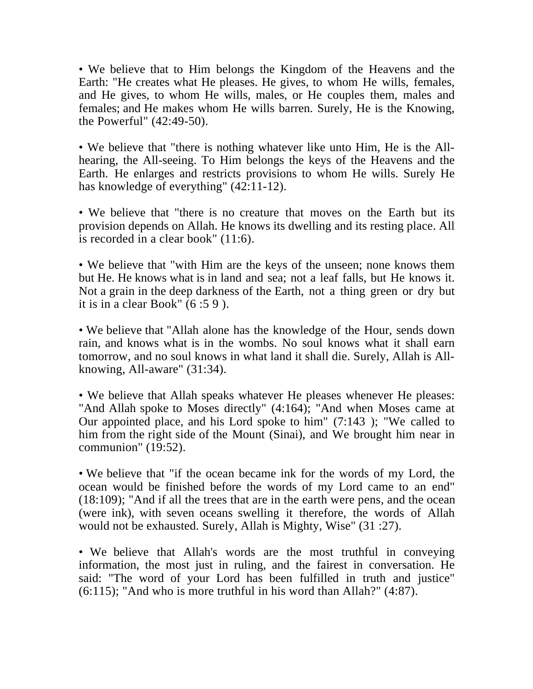• We believe that to Him belongs the Kingdom of the Heavens and the Earth: "He creates what He pleases. He gives, to whom He wills, females, and He gives, to whom He wills, males, or He couples them, males and females; and He makes whom He wills barren. Surely, He is the Knowing, the Powerful" (42:49-50).

• We believe that "there is nothing whatever like unto Him, He is the Allhearing, the All-seeing. To Him belongs the keys of the Heavens and the Earth. He enlarges and restricts provisions to whom He wills. Surely He has knowledge of everything" (42:11-12).

• We believe that "there is no creature that moves on the Earth but its provision depends on Allah. He knows its dwelling and its resting place. All is recorded in a clear book" (11:6).

• We believe that "with Him are the keys of the unseen; none knows them but He. He knows what is in land and sea; not a leaf falls, but He knows it. Not a grain in the deep darkness of the Earth, not a thing green or dry but it is in a clear Book" (6 :5 9 ).

• We believe that "Allah alone has the knowledge of the Hour, sends down rain, and knows what is in the wombs. No soul knows what it shall earn tomorrow, and no soul knows in what land it shall die. Surely, Allah is Allknowing, All-aware" (31:34).

• We believe that Allah speaks whatever He pleases whenever He pleases: "And Allah spoke to Moses directly" (4:164); "And when Moses came at Our appointed place, and his Lord spoke to him" (7:143 ); "We called to him from the right side of the Mount (Sinai), and We brought him near in communion" (19:52).

• We believe that "if the ocean became ink for the words of my Lord, the ocean would be finished before the words of my Lord came to an end" (18:109); "And if all the trees that are in the earth were pens, and the ocean (were ink), with seven oceans swelling it therefore, the words of Allah would not be exhausted. Surely, Allah is Mighty, Wise" (31 :27).

• We believe that Allah's words are the most truthful in conveying information, the most just in ruling, and the fairest in conversation. He said: "The word of your Lord has been fulfilled in truth and justice" (6:115); "And who is more truthful in his word than Allah?" (4:87).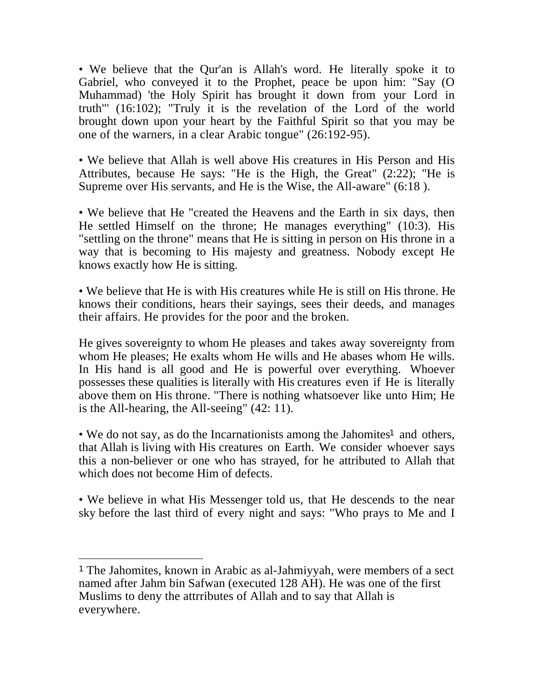• We believe that the Qur'an is Allah's word. He literally spoke it to Gabriel, who conveyed it to the Prophet, peace be upon him: "Say (O Muhammad) 'the Holy Spirit has brought it down from your Lord in truth"' (16:102); "Truly it is the revelation of the Lord of the world brought down upon your heart by the Faithful Spirit so that you may be one of the warners, in a clear Arabic tongue" (26:192-95).

• We believe that Allah is well above His creatures in His Person and His Attributes, because He says: "He is the High, the Great" (2:22); "He is Supreme over His servants, and He is the Wise, the All-aware" (6:18 ).

• We believe that He "created the Heavens and the Earth in six days, then He settled Himself on the throne; He manages everything" (10:3). His "settling on the throne" means that He is sitting in person on His throne in a way that is becoming to His majesty and greatness. Nobody except He knows exactly how He is sitting.

• We believe that He is with His creatures while He is still on His throne. He knows their conditions, hears their sayings, sees their deeds, and manages their affairs. He provides for the poor and the broken.

He gives sovereignty to whom He pleases and takes away sovereignty from whom He pleases; He exalts whom He wills and He abases whom He wills. In His hand is all good and He is powerful over everything. Whoever possesses these qualities is literally with His creatures even if He is literally above them on His throne. "There is nothing whatsoever like unto Him; He is the All-hearing, the All-seeing" (42: 11).

• We do not say, as do the Incarnationists among the Jahomites<sup>1</sup> and others, that Allah is living with His creatures on Earth. We consider whoever says this a non-believer or one who has strayed, for he attributed to Allah that which does not become Him of defects.

• We believe in what His Messenger told us, that He descends to the near sky before the last third of every night and says: "Who prays to Me and I

<sup>1</sup> The Jahomites, known in Arabic as al-Jahmiyyah, were members of a sect named after Jahm bin Safwan (executed 128 AH). He was one of the first Muslims to deny the attrributes of Allah and to say that Allah is everywhere.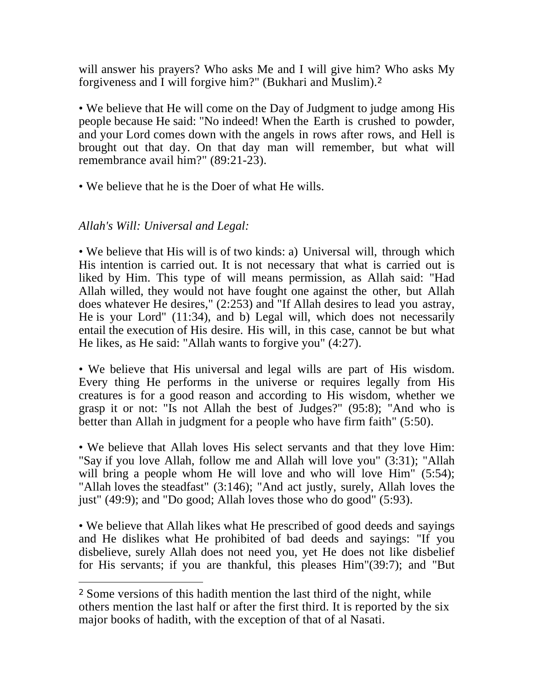will answer his prayers? Who asks Me and I will give him? Who asks My forgiveness and I will forgive him?" (Bukhari and Muslim).<sup>2</sup>

• We believe that He will come on the Day of Judgment to judge among His people because He said: "No indeed! When the Earth is crushed to powder, and your Lord comes down with the angels in rows after rows, and Hell is brought out that day. On that day man will remember, but what will remembrance avail him?" (89:21-23).

• We believe that he is the Doer of what He wills.

## *Allah's Will: Universal and Legal:*

• We believe that His will is of two kinds: a) Universal will, through which His intention is carried out. It is not necessary that what is carried out is liked by Him. This type of will means permission, as Allah said: "Had Allah willed, they would not have fought one against the other, but Allah does whatever He desires," (2:253) and "If Allah desires to lead you astray, He is your Lord" (11:34), and b) Legal will, which does not necessarily entail the execution of His desire. His will, in this case, cannot be but what He likes, as He said: "Allah wants to forgive you" (4:27).

• We believe that His universal and legal wills are part of His wisdom. Every thing He performs in the universe or requires legally from His creatures is for a good reason and according to His wisdom, whether we grasp it or not: "Is not Allah the best of Judges?" (95:8); "And who is better than Allah in judgment for a people who have firm faith" (5:50).

• We believe that Allah loves His select servants and that they love Him: "Say if you love Allah, follow me and Allah will love you" (3:31); "Allah will bring a people whom He will love and who will love Him" (5:54); "Allah loves the steadfast" (3:146); "And act justly, surely, Allah loves the just" (49:9); and "Do good; Allah loves those who do good" (5:93).

• We believe that Allah likes what He prescribed of good deeds and sayings and He dislikes what He prohibited of bad deeds and sayings: "If you disbelieve, surely Allah does not need you, yet He does not like disbelief for His servants; if you are thankful, this pleases Him"(39:7); and "But

<sup>2</sup> Some versions of this hadith mention the last third of the night, while others mention the last half or after the first third. It is reported by the six major books of hadith, with the exception of that of al Nasati.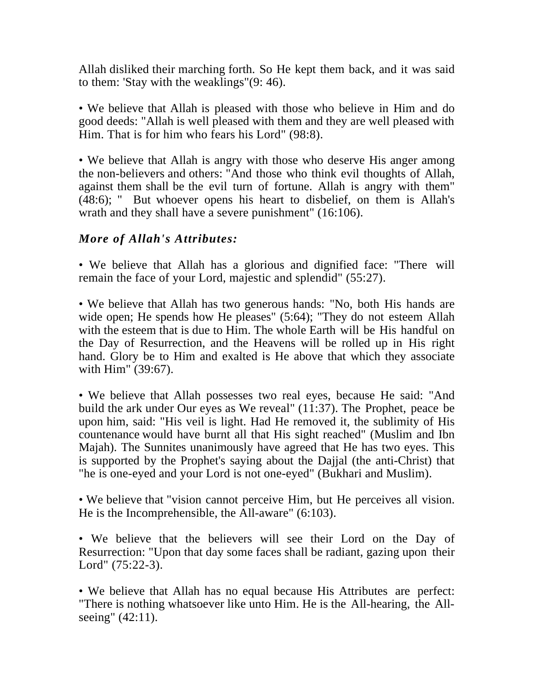Allah disliked their marching forth. So He kept them back, and it was said to them: 'Stay with the weaklings"(9: 46).

• We believe that Allah is pleased with those who believe in Him and do good deeds: "Allah is well pleased with them and they are well pleased with Him. That is for him who fears his Lord" (98:8).

• We believe that Allah is angry with those who deserve His anger among the non-believers and others: "And those who think evil thoughts of Allah, against them shall be the evil turn of fortune. Allah is angry with them" (48:6); " But whoever opens his heart to disbelief, on them is Allah's wrath and they shall have a severe punishment" (16:106).

## *More of Allah's Attributes:*

• We believe that Allah has a glorious and dignified face: "There will remain the face of your Lord, majestic and splendid" (55:27).

• We believe that Allah has two generous hands: "No, both His hands are wide open; He spends how He pleases" (5:64); "They do not esteem Allah with the esteem that is due to Him. The whole Earth will be His handful on the Day of Resurrection, and the Heavens will be rolled up in His right hand. Glory be to Him and exalted is He above that which they associate with Him" (39:67).

• We believe that Allah possesses two real eyes, because He said: "And build the ark under Our eyes as We reveal" (11:37). The Prophet, peace be upon him, said: "His veil is light. Had He removed it, the sublimity of His countenance would have burnt all that His sight reached" (Muslim and Ibn Majah). The Sunnites unanimously have agreed that He has two eyes. This is supported by the Prophet's saying about the Dajjal (the anti-Christ) that "he is one-eyed and your Lord is not one-eyed" (Bukhari and Muslim).

• We believe that "vision cannot perceive Him, but He perceives all vision. He is the Incomprehensible, the All-aware" (6:103).

• We believe that the believers will see their Lord on the Day of Resurrection: "Upon that day some faces shall be radiant, gazing upon their Lord" (75:22-3).

• We believe that Allah has no equal because His Attributes are perfect: "There is nothing whatsoever like unto Him. He is the All-hearing, the Allseeing" (42:11).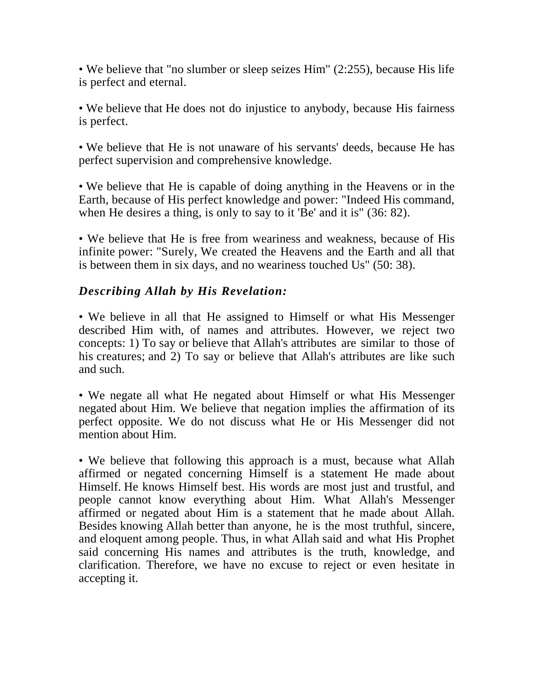• We believe that "no slumber or sleep seizes Him" (2:255), because His life is perfect and eternal.

• We believe that He does not do injustice to anybody, because His fairness is perfect.

• We believe that He is not unaware of his servants' deeds, because He has perfect supervision and comprehensive knowledge.

• We believe that He is capable of doing anything in the Heavens or in the Earth, because of His perfect knowledge and power: "Indeed His command, when He desires a thing, is only to say to it 'Be' and it is" (36: 82).

• We believe that He is free from weariness and weakness, because of His infinite power: "Surely, We created the Heavens and the Earth and all that is between them in six days, and no weariness touched Us" (50: 38).

## *Describing Allah by His Revelation:*

• We believe in all that He assigned to Himself or what His Messenger described Him with, of names and attributes. However, we reject two concepts: 1) To say or believe that Allah's attributes are similar to those of his creatures; and 2) To say or believe that Allah's attributes are like such and such.

• We negate all what He negated about Himself or what His Messenger negated about Him. We believe that negation implies the affirmation of its perfect opposite. We do not discuss what He or His Messenger did not mention about Him.

• We believe that following this approach is a must, because what Allah affirmed or negated concerning Himself is a statement He made about Himself. He knows Himself best. His words are most just and trustful, and people cannot know everything about Him. What Allah's Messenger affirmed or negated about Him is a statement that he made about Allah. Besides knowing Allah better than anyone, he is the most truthful, sincere, and eloquent among people. Thus, in what Allah said and what His Prophet said concerning His names and attributes is the truth, knowledge, and clarification. Therefore, we have no excuse to reject or even hesitate in accepting it.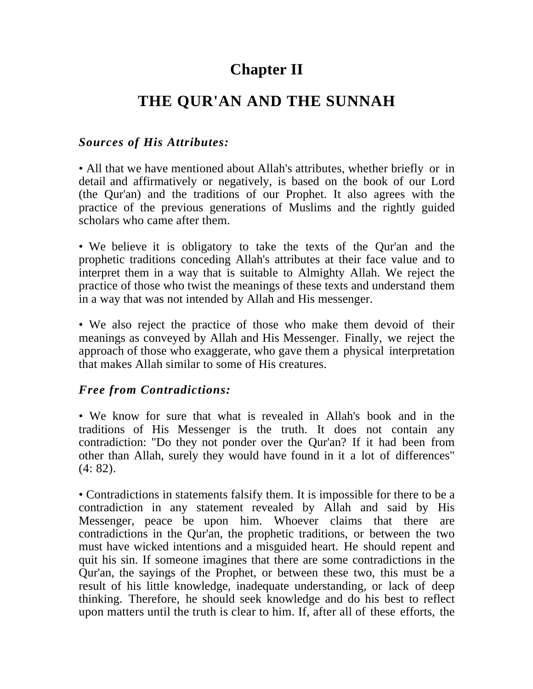# **Chapter II**

# **THE QUR'AN AND THE SUNNAH**

#### *Sources of His Attributes:*

• All that we have mentioned about Allah's attributes, whether briefly or in detail and affirmatively or negatively, is based on the book of our Lord (the Qur'an) and the traditions of our Prophet. It also agrees with the practice of the previous generations of Muslims and the rightly guided scholars who came after them.

• We believe it is obligatory to take the texts of the Qur'an and the prophetic traditions conceding Allah's attributes at their face value and to interpret them in a way that is suitable to Almighty Allah. We reject the practice of those who twist the meanings of these texts and understand them in a way that was not intended by Allah and His messenger.

• We also reject the practice of those who make them devoid of their meanings as conveyed by Allah and His Messenger. Finally, we reject the approach of those who exaggerate, who gave them a physical interpretation that makes Allah similar to some of His creatures.

#### *Free from Contradictions:*

• We know for sure that what is revealed in Allah's book and in the traditions of His Messenger is the truth. It does not contain any contradiction: "Do they not ponder over the Qur'an? If it had been from other than Allah, surely they would have found in it a lot of differences" (4: 82).

• Contradictions in statements falsify them. It is impossible for there to be a contradiction in any statement revealed by Allah and said by His Messenger, peace be upon him. Whoever claims that there are contradictions in the Qur'an, the prophetic traditions, or between the two must have wicked intentions and a misguided heart. He should repent and quit his sin. If someone imagines that there are some contradictions in the Qur'an, the sayings of the Prophet, or between these two, this must be a result of his little knowledge, inadequate understanding, or lack of deep thinking. Therefore, he should seek knowledge and do his best to reflect upon matters until the truth is clear to him. If, after all of these efforts, the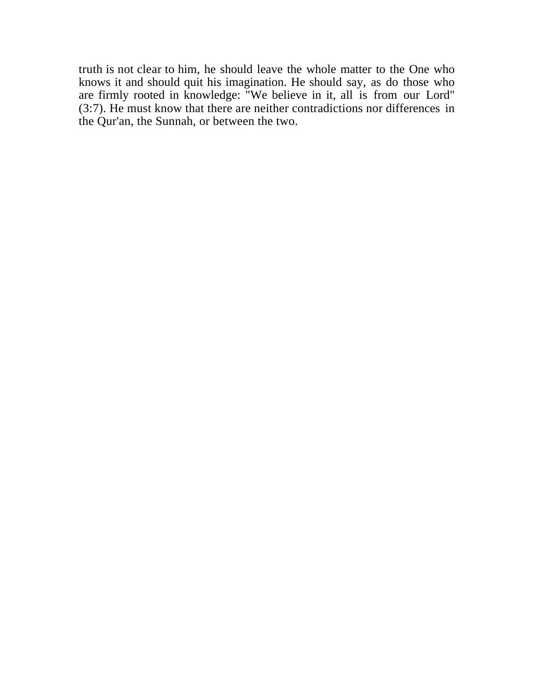truth is not clear to him, he should leave the whole matter to the One who knows it and should quit his imagination. He should say, as do those who are firmly rooted in knowledge: "We believe in it, all is from our Lord" (3:7). He must know that there are neither contradictions nor differences in the Qur'an, the Sunnah, or between the two.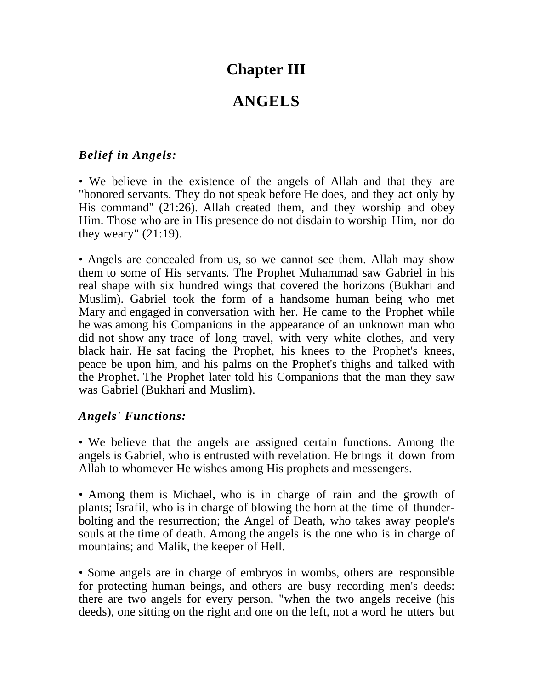## **Chapter III**

# **ANGELS**

#### *Belief in Angels:*

• We believe in the existence of the angels of Allah and that they are "honored servants. They do not speak before He does, and they act only by His command" (21:26). Allah created them, and they worship and obey Him. Those who are in His presence do not disdain to worship Him, nor do they weary" (21:19).

• Angels are concealed from us, so we cannot see them. Allah may show them to some of His servants. The Prophet Muhammad saw Gabriel in his real shape with six hundred wings that covered the horizons (Bukhari and Muslim). Gabriel took the form of a handsome human being who met Mary and engaged in conversation with her. He came to the Prophet while he was among his Companions in the appearance of an unknown man who did not show any trace of long travel, with very white clothes, and very black hair. He sat facing the Prophet, his knees to the Prophet's knees, peace be upon him, and his palms on the Prophet's thighs and talked with the Prophet. The Prophet later told his Companions that the man they saw was Gabriel (Bukhari and Muslim).

#### *Angels' Functions:*

• We believe that the angels are assigned certain functions. Among the angels is Gabriel, who is entrusted with revelation. He brings it down from Allah to whomever He wishes among His prophets and messengers.

• Among them is Michael, who is in charge of rain and the growth of plants; Israfil, who is in charge of blowing the horn at the time of thunderbolting and the resurrection; the Angel of Death, who takes away people's souls at the time of death. Among the angels is the one who is in charge of mountains; and Malik, the keeper of Hell.

• Some angels are in charge of embryos in wombs, others are responsible for protecting human beings, and others are busy recording men's deeds: there are two angels for every person, "when the two angels receive (his deeds), one sitting on the right and one on the left, not a word he utters but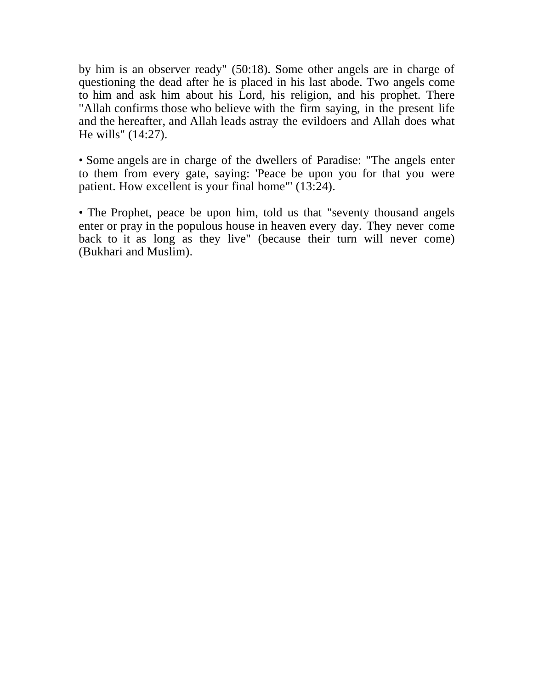by him is an observer ready" (50:18). Some other angels are in charge of questioning the dead after he is placed in his last abode. Two angels come to him and ask him about his Lord, his religion, and his prophet. There "Allah confirms those who believe with the firm saying, in the present life and the hereafter, and Allah leads astray the evildoers and Allah does what He wills" (14:27).

• Some angels are in charge of the dwellers of Paradise: "The angels enter to them from every gate, saying: 'Peace be upon you for that you were patient. How excellent is your final home"' (13:24).

• The Prophet, peace be upon him, told us that "seventy thousand angels enter or pray in the populous house in heaven every day. They never come back to it as long as they live" (because their turn will never come) (Bukhari and Muslim).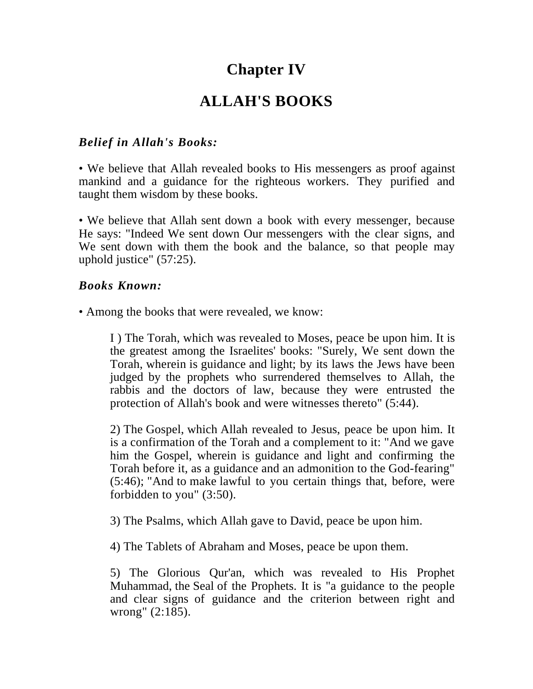# **Chapter IV**

# **ALLAH'S BOOKS**

#### *Belief in Allah's Books:*

• We believe that Allah revealed books to His messengers as proof against mankind and a guidance for the righteous workers. They purified and taught them wisdom by these books.

• We believe that Allah sent down a book with every messenger, because He says: "Indeed We sent down Our messengers with the clear signs, and We sent down with them the book and the balance, so that people may uphold justice" (57:25).

#### *Books Known:*

• Among the books that were revealed, we know:

I ) The Torah, which was revealed to Moses, peace be upon him. It is the greatest among the Israelites' books: "Surely, We sent down the Torah, wherein is guidance and light; by its laws the Jews have been judged by the prophets who surrendered themselves to Allah, the rabbis and the doctors of law, because they were entrusted the protection of Allah's book and were witnesses thereto" (5:44).

2) The Gospel, which Allah revealed to Jesus, peace be upon him. It is a confirmation of the Torah and a complement to it: "And we gave him the Gospel, wherein is guidance and light and confirming the Torah before it, as a guidance and an admonition to the God-fearing" (5:46); "And to make lawful to you certain things that, before, were forbidden to you" (3:50).

3) The Psalms, which Allah gave to David, peace be upon him.

4) The Tablets of Abraham and Moses, peace be upon them.

5) The Glorious Qur'an, which was revealed to His Prophet Muhammad, the Seal of the Prophets. It is "a guidance to the people and clear signs of guidance and the criterion between right and wrong" (2:185).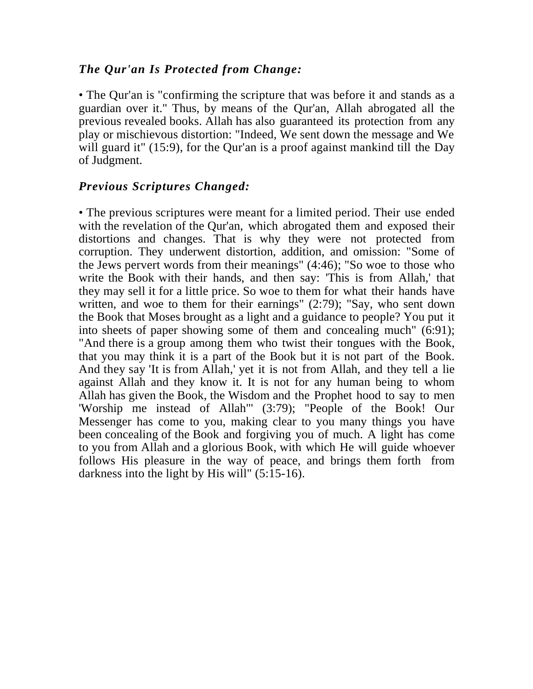#### *The Qur'an Is Protected from Change:*

• The Qur'an is "confirming the scripture that was before it and stands as a guardian over it." Thus, by means of the Qur'an, Allah abrogated all the previous revealed books. Allah has also guaranteed its protection from any play or mischievous distortion: "Indeed, We sent down the message and We will guard it" (15:9), for the Qur'an is a proof against mankind till the Day of Judgment.

#### *Previous Scriptures Changed:*

• The previous scriptures were meant for a limited period. Their use ended with the revelation of the Qur'an, which abrogated them and exposed their distortions and changes. That is why they were not protected from corruption. They underwent distortion, addition, and omission: "Some of the Jews pervert words from their meanings" (4:46); "So woe to those who write the Book with their hands, and then say: 'This is from Allah,' that they may sell it for a little price. So woe to them for what their hands have written, and woe to them for their earnings" (2:79); "Say, who sent down the Book that Moses brought as a light and a guidance to people? You put it into sheets of paper showing some of them and concealing much" (6:91); "And there is a group among them who twist their tongues with the Book, that you may think it is a part of the Book but it is not part of the Book. And they say 'It is from Allah,' yet it is not from Allah, and they tell a lie against Allah and they know it. It is not for any human being to whom Allah has given the Book, the Wisdom and the Prophet hood to say to men 'Worship me instead of Allah"' (3:79); "People of the Book! Our Messenger has come to you, making clear to you many things you have been concealing of the Book and forgiving you of much. A light has come to you from Allah and a glorious Book, with which He will guide whoever follows His pleasure in the way of peace, and brings them forth from darkness into the light by His will" (5:15-16).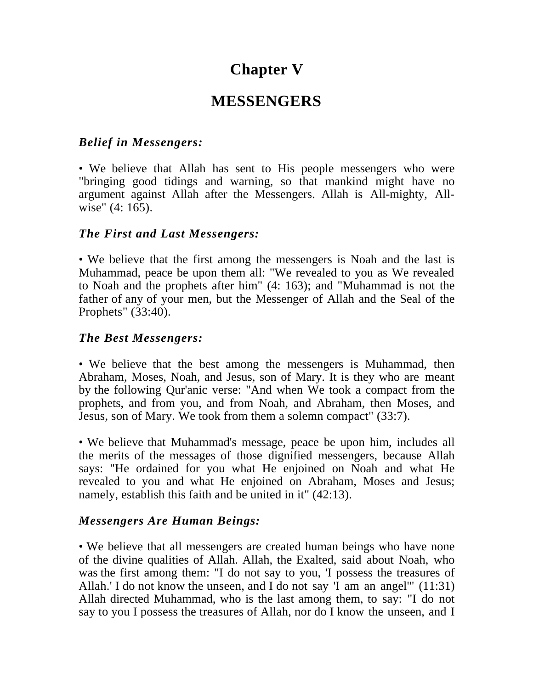## **Chapter V**

## **MESSENGERS**

#### *Belief in Messengers:*

• We believe that Allah has sent to His people messengers who were "bringing good tidings and warning, so that mankind might have no argument against Allah after the Messengers. Allah is All-mighty, Allwise" (4: 165).

#### *The First and Last Messengers:*

• We believe that the first among the messengers is Noah and the last is Muhammad, peace be upon them all: "We revealed to you as We revealed to Noah and the prophets after him" (4: 163); and "Muhammad is not the father of any of your men, but the Messenger of Allah and the Seal of the Prophets" (33:40).

#### *The Best Messengers:*

• We believe that the best among the messengers is Muhammad, then Abraham, Moses, Noah, and Jesus, son of Mary. It is they who are meant by the following Qur'anic verse: "And when We took a compact from the prophets, and from you, and from Noah, and Abraham, then Moses, and Jesus, son of Mary. We took from them a solemn compact" (33:7).

• We believe that Muhammad's message, peace be upon him, includes all the merits of the messages of those dignified messengers, because Allah says: "He ordained for you what He enjoined on Noah and what He revealed to you and what He enjoined on Abraham, Moses and Jesus; namely, establish this faith and be united in it" (42:13).

#### *Messengers Are Human Beings:*

• We believe that all messengers are created human beings who have none of the divine qualities of Allah. Allah, the Exalted, said about Noah, who was the first among them: "I do not say to you, 'I possess the treasures of Allah.' I do not know the unseen, and I do not say 'I am an angel"' (11:31) Allah directed Muhammad, who is the last among them, to say: "I do not say to you I possess the treasures of Allah, nor do I know the unseen, and I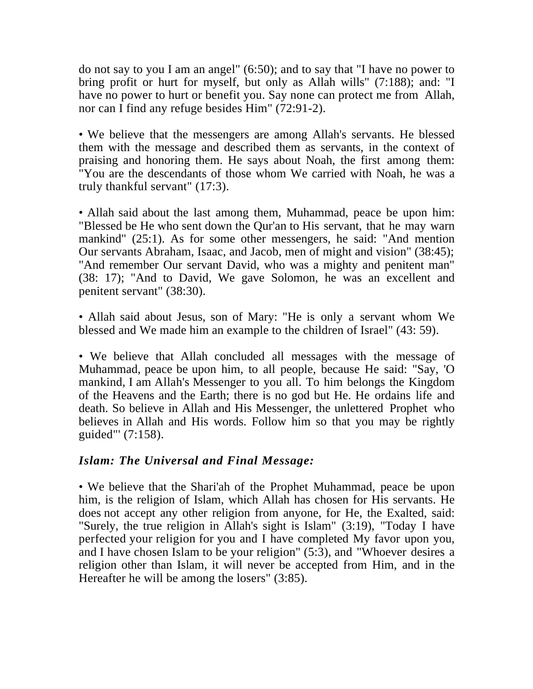do not say to you I am an angel" (6:50); and to say that "I have no power to bring profit or hurt for myself, but only as Allah wills" (7:188); and: "I have no power to hurt or benefit you. Say none can protect me from Allah, nor can I find any refuge besides Him" (72:91-2).

• We believe that the messengers are among Allah's servants. He blessed them with the message and described them as servants, in the context of praising and honoring them. He says about Noah, the first among them: "You are the descendants of those whom We carried with Noah, he was a truly thankful servant" (17:3).

• Allah said about the last among them, Muhammad, peace be upon him: "Blessed be He who sent down the Qur'an to His servant, that he may warn mankind" (25:1). As for some other messengers, he said: "And mention Our servants Abraham, Isaac, and Jacob, men of might and vision" (38:45); "And remember Our servant David, who was a mighty and penitent man" (38: 17); "And to David, We gave Solomon, he was an excellent and penitent servant" (38:30).

• Allah said about Jesus, son of Mary: "He is only a servant whom We blessed and We made him an example to the children of Israel" (43: 59).

• We believe that Allah concluded all messages with the message of Muhammad, peace be upon him, to all people, because He said: "Say, 'O mankind, I am Allah's Messenger to you all. To him belongs the Kingdom of the Heavens and the Earth; there is no god but He. He ordains life and death. So believe in Allah and His Messenger, the unlettered Prophet who believes in Allah and His words. Follow him so that you may be rightly guided"' (7:158).

#### *Islam: The Universal and Final Message:*

• We believe that the Shari'ah of the Prophet Muhammad, peace be upon him, is the religion of Islam, which Allah has chosen for His servants. He does not accept any other religion from anyone, for He, the Exalted, said: "Surely, the true religion in Allah's sight is Islam" (3:19), "Today I have perfected your religion for you and I have completed My favor upon you, and I have chosen Islam to be your religion" (5:3), and "Whoever desires a religion other than Islam, it will never be accepted from Him, and in the Hereafter he will be among the losers" (3:85).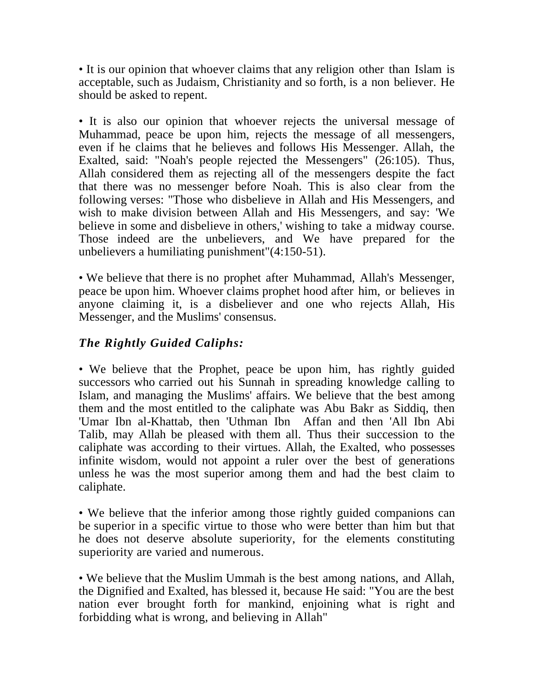• It is our opinion that whoever claims that any religion other than Islam is acceptable, such as Judaism, Christianity and so forth, is a non believer. He should be asked to repent.

• It is also our opinion that whoever rejects the universal message of Muhammad, peace be upon him, rejects the message of all messengers, even if he claims that he believes and follows His Messenger. Allah, the Exalted, said: "Noah's people rejected the Messengers" (26:105). Thus, Allah considered them as rejecting all of the messengers despite the fact that there was no messenger before Noah. This is also clear from the following verses: "Those who disbelieve in Allah and His Messengers, and wish to make division between Allah and His Messengers, and say: 'We believe in some and disbelieve in others,' wishing to take a midway course. Those indeed are the unbelievers, and We have prepared for the unbelievers a humiliating punishment"(4:150-51).

• We believe that there is no prophet after Muhammad, Allah's Messenger, peace be upon him. Whoever claims prophet hood after him, or believes in anyone claiming it, is a disbeliever and one who rejects Allah, His Messenger, and the Muslims' consensus.

## *The Rightly Guided Caliphs:*

• We believe that the Prophet, peace be upon him, has rightly guided successors who carried out his Sunnah in spreading knowledge calling to Islam, and managing the Muslims' affairs. We believe that the best among them and the most entitled to the caliphate was Abu Bakr as Siddiq, then 'Umar Ibn al-Khattab, then 'Uthman Ibn Affan and then 'All Ibn Abi Talib, may Allah be pleased with them all. Thus their succession to the caliphate was according to their virtues. Allah, the Exalted, who possesses infinite wisdom, would not appoint a ruler over the best of generations unless he was the most superior among them and had the best claim to caliphate.

• We believe that the inferior among those rightly guided companions can be superior in a specific virtue to those who were better than him but that he does not deserve absolute superiority, for the elements constituting superiority are varied and numerous.

• We believe that the Muslim Ummah is the best among nations, and Allah, the Dignified and Exalted, has blessed it, because He said: "You are the best nation ever brought forth for mankind, enjoining what is right and forbidding what is wrong, and believing in Allah"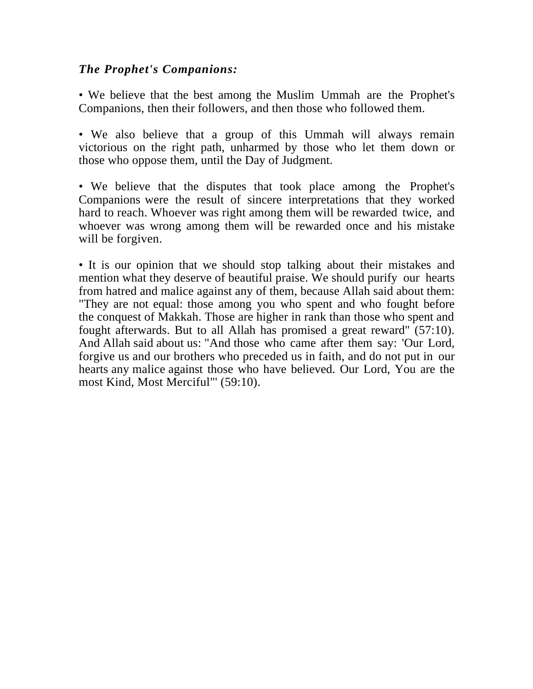#### *The Prophet's Companions:*

• We believe that the best among the Muslim Ummah are the Prophet's Companions, then their followers, and then those who followed them.

• We also believe that a group of this Ummah will always remain victorious on the right path, unharmed by those who let them down or those who oppose them, until the Day of Judgment.

• We believe that the disputes that took place among the Prophet's Companions were the result of sincere interpretations that they worked hard to reach. Whoever was right among them will be rewarded twice, and whoever was wrong among them will be rewarded once and his mistake will be forgiven.

• It is our opinion that we should stop talking about their mistakes and mention what they deserve of beautiful praise. We should purify our hearts from hatred and malice against any of them, because Allah said about them: "They are not equal: those among you who spent and who fought before the conquest of Makkah. Those are higher in rank than those who spent and fought afterwards. But to all Allah has promised a great reward" (57:10). And Allah said about us: "And those who came after them say: 'Our Lord, forgive us and our brothers who preceded us in faith, and do not put in our hearts any malice against those who have believed. Our Lord, You are the most Kind, Most Merciful"' (59:10).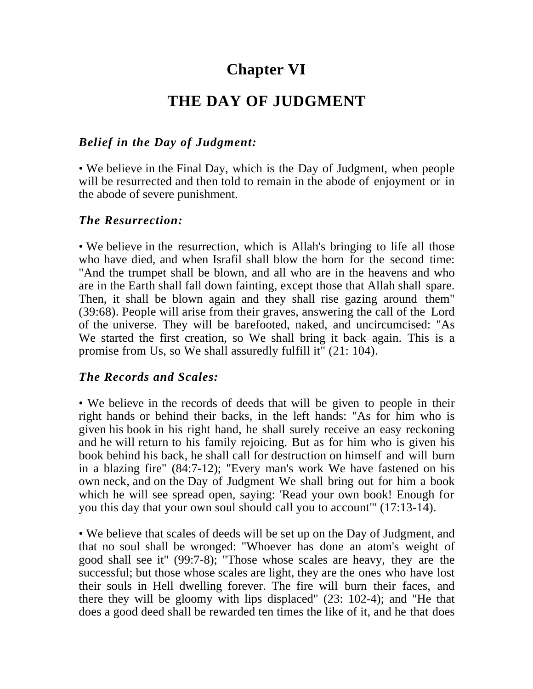# **Chapter VI**

## **THE DAY OF JUDGMENT**

#### *Belief in the Day of Judgment:*

• We believe in the Final Day, which is the Day of Judgment, when people will be resurrected and then told to remain in the abode of enjoyment or in the abode of severe punishment.

#### *The Resurrection:*

• We believe in the resurrection, which is Allah's bringing to life all those who have died, and when Israfil shall blow the horn for the second time: "And the trumpet shall be blown, and all who are in the heavens and who are in the Earth shall fall down fainting, except those that Allah shall spare. Then, it shall be blown again and they shall rise gazing around them" (39:68). People will arise from their graves, answering the call of the Lord of the universe. They will be barefooted, naked, and uncircumcised: "As We started the first creation, so We shall bring it back again. This is a promise from Us, so We shall assuredly fulfill it" (21: 104).

#### *The Records and Scales:*

• We believe in the records of deeds that will be given to people in their right hands or behind their backs, in the left hands: "As for him who is given his book in his right hand, he shall surely receive an easy reckoning and he will return to his family rejoicing. But as for him who is given his book behind his back, he shall call for destruction on himself and will burn in a blazing fire" (84:7-12); "Every man's work We have fastened on his own neck, and on the Day of Judgment We shall bring out for him a book which he will see spread open, saying: 'Read your own book! Enough for you this day that your own soul should call you to account"' (17:13-14).

• We believe that scales of deeds will be set up on the Day of Judgment, and that no soul shall be wronged: "Whoever has done an atom's weight of good shall see it" (99:7-8); "Those whose scales are heavy, they are the successful; but those whose scales are light, they are the ones who have lost their souls in Hell dwelling forever. The fire will burn their faces, and there they will be gloomy with lips displaced" (23: 102-4); and "He that does a good deed shall be rewarded ten times the like of it, and he that does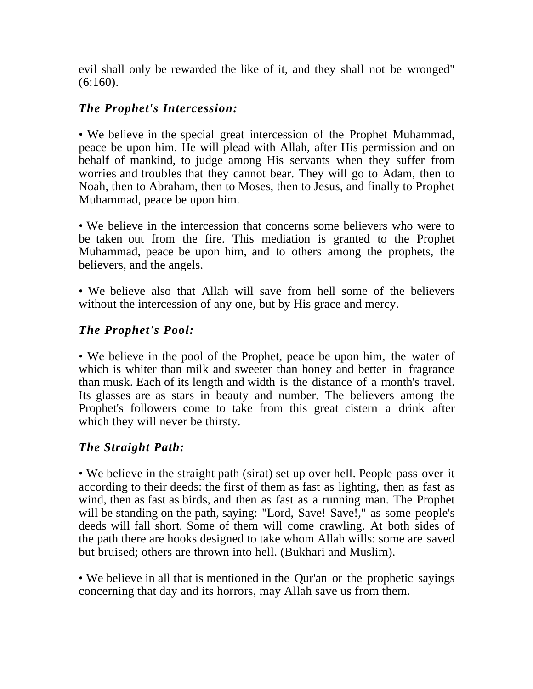evil shall only be rewarded the like of it, and they shall not be wronged" (6:160).

## *The Prophet's Intercession:*

• We believe in the special great intercession of the Prophet Muhammad, peace be upon him. He will plead with Allah, after His permission and on behalf of mankind, to judge among His servants when they suffer from worries and troubles that they cannot bear. They will go to Adam, then to Noah, then to Abraham, then to Moses, then to Jesus, and finally to Prophet Muhammad, peace be upon him.

• We believe in the intercession that concerns some believers who were to be taken out from the fire. This mediation is granted to the Prophet Muhammad, peace be upon him, and to others among the prophets, the believers, and the angels.

• We believe also that Allah will save from hell some of the believers without the intercession of any one, but by His grace and mercy.

## *The Prophet's Pool:*

• We believe in the pool of the Prophet, peace be upon him, the water of which is whiter than milk and sweeter than honey and better in fragrance than musk. Each of its length and width is the distance of a month's travel. Its glasses are as stars in beauty and number. The believers among the Prophet's followers come to take from this great cistern a drink after which they will never be thirsty.

## *The Straight Path:*

• We believe in the straight path (sirat) set up over hell. People pass over it according to their deeds: the first of them as fast as lighting, then as fast as wind, then as fast as birds, and then as fast as a running man. The Prophet will be standing on the path, saying: "Lord, Save! Save!," as some people's deeds will fall short. Some of them will come crawling. At both sides of the path there are hooks designed to take whom Allah wills: some are saved but bruised; others are thrown into hell. (Bukhari and Muslim).

• We believe in all that is mentioned in the Qur'an or the prophetic sayings concerning that day and its horrors, may Allah save us from them.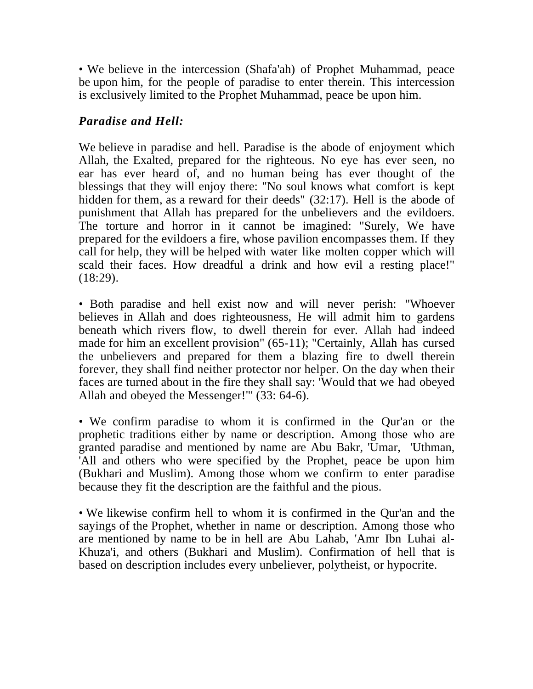• We believe in the intercession (Shafa'ah) of Prophet Muhammad, peace be upon him, for the people of paradise to enter therein. This intercession is exclusively limited to the Prophet Muhammad, peace be upon him.

#### *Paradise and Hell:*

We believe in paradise and hell. Paradise is the abode of enjoyment which Allah, the Exalted, prepared for the righteous. No eye has ever seen, no ear has ever heard of, and no human being has ever thought of the blessings that they will enjoy there: "No soul knows what comfort is kept hidden for them, as a reward for their deeds" (32:17). Hell is the abode of punishment that Allah has prepared for the unbelievers and the evildoers. The torture and horror in it cannot be imagined: "Surely, We have prepared for the evildoers a fire, whose pavilion encompasses them. If they call for help, they will be helped with water like molten copper which will scald their faces. How dreadful a drink and how evil a resting place!" (18:29).

• Both paradise and hell exist now and will never perish: "Whoever believes in Allah and does righteousness, He will admit him to gardens beneath which rivers flow, to dwell therein for ever. Allah had indeed made for him an excellent provision" (65-11); "Certainly, Allah has cursed the unbelievers and prepared for them a blazing fire to dwell therein forever, they shall find neither protector nor helper. On the day when their faces are turned about in the fire they shall say: 'Would that we had obeyed Allah and obeyed the Messenger!"' (33: 64-6).

• We confirm paradise to whom it is confirmed in the Qur'an or the prophetic traditions either by name or description. Among those who are granted paradise and mentioned by name are Abu Bakr, 'Umar, 'Uthman, 'All and others who were specified by the Prophet, peace be upon him (Bukhari and Muslim). Among those whom we confirm to enter paradise because they fit the description are the faithful and the pious.

• We likewise confirm hell to whom it is confirmed in the Qur'an and the sayings of the Prophet, whether in name or description. Among those who are mentioned by name to be in hell are Abu Lahab, 'Amr Ibn Luhai al-Khuza'i, and others (Bukhari and Muslim). Confirmation of hell that is based on description includes every unbeliever, polytheist, or hypocrite.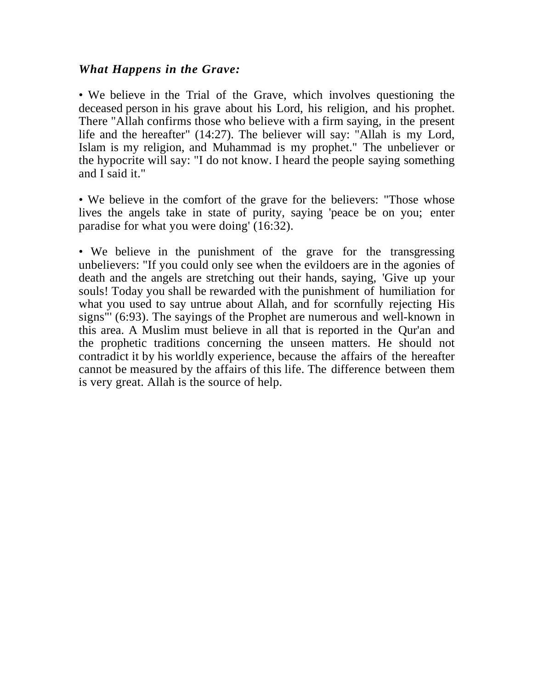#### *What Happens in the Grave:*

• We believe in the Trial of the Grave, which involves questioning the deceased person in his grave about his Lord, his religion, and his prophet. There "Allah confirms those who believe with a firm saying, in the present life and the hereafter" (14:27). The believer will say: "Allah is my Lord, Islam is my religion, and Muhammad is my prophet." The unbeliever or the hypocrite will say: "I do not know. I heard the people saying something and I said it."

• We believe in the comfort of the grave for the believers: "Those whose lives the angels take in state of purity, saying 'peace be on you; enter paradise for what you were doing' (16:32).

• We believe in the punishment of the grave for the transgressing unbelievers: "If you could only see when the evildoers are in the agonies of death and the angels are stretching out their hands, saying, 'Give up your souls! Today you shall be rewarded with the punishment of humiliation for what you used to say untrue about Allah, and for scornfully rejecting His signs"' (6:93). The sayings of the Prophet are numerous and well-known in this area. A Muslim must believe in all that is reported in the Qur'an and the prophetic traditions concerning the unseen matters. He should not contradict it by his worldly experience, because the affairs of the hereafter cannot be measured by the affairs of this life. The difference between them is very great. Allah is the source of help.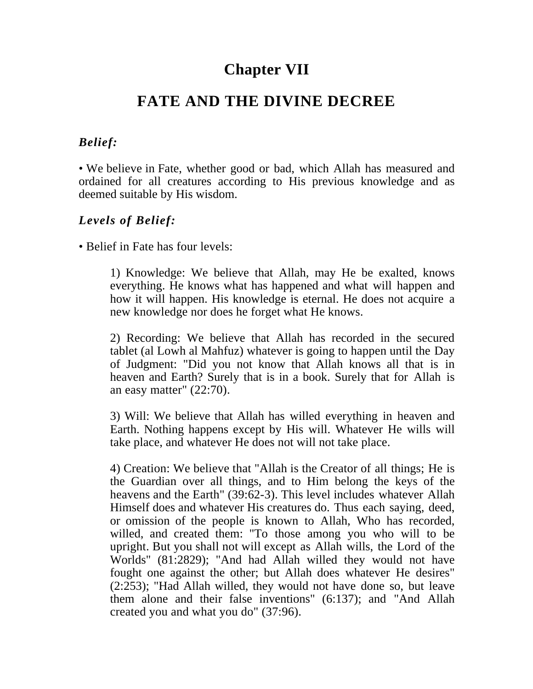## **Chapter VII**

## **FATE AND THE DIVINE DECREE**

#### *Belief:*

• We believe in Fate, whether good or bad, which Allah has measured and ordained for all creatures according to His previous knowledge and as deemed suitable by His wisdom.

#### *Levels of Belief:*

• Belief in Fate has four levels:

1) Knowledge: We believe that Allah, may He be exalted, knows everything. He knows what has happened and what will happen and how it will happen. His knowledge is eternal. He does not acquire a new knowledge nor does he forget what He knows.

2) Recording: We believe that Allah has recorded in the secured tablet (al Lowh al Mahfuz) whatever is going to happen until the Day of Judgment: "Did you not know that Allah knows all that is in heaven and Earth? Surely that is in a book. Surely that for Allah is an easy matter" (22:70).

3) Will: We believe that Allah has willed everything in heaven and Earth. Nothing happens except by His will. Whatever He wills will take place, and whatever He does not will not take place.

4) Creation: We believe that "Allah is the Creator of all things; He is the Guardian over all things, and to Him belong the keys of the heavens and the Earth" (39:62-3). This level includes whatever Allah Himself does and whatever His creatures do. Thus each saying, deed, or omission of the people is known to Allah, Who has recorded, willed, and created them: "To those among you who will to be upright. But you shall not will except as Allah wills, the Lord of the Worlds" (81:2829); "And had Allah willed they would not have fought one against the other; but Allah does whatever He desires" (2:253); "Had Allah willed, they would not have done so, but leave them alone and their false inventions" (6:137); and "And Allah created you and what you do" (37:96).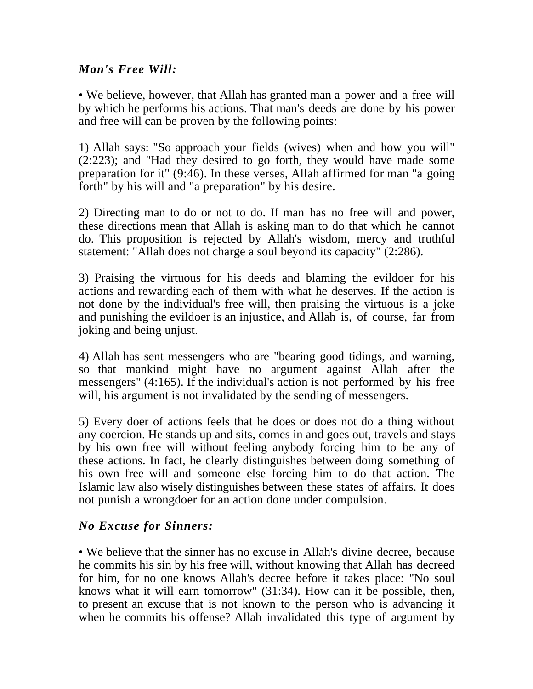#### *Man's Free Will:*

• We believe, however, that Allah has granted man a power and a free will by which he performs his actions. That man's deeds are done by his power and free will can be proven by the following points:

1) Allah says: "So approach your fields (wives) when and how you will" (2:223); and "Had they desired to go forth, they would have made some preparation for it" (9:46). In these verses, Allah affirmed for man "a going forth" by his will and "a preparation" by his desire.

2) Directing man to do or not to do. If man has no free will and power, these directions mean that Allah is asking man to do that which he cannot do. This proposition is rejected by Allah's wisdom, mercy and truthful statement: "Allah does not charge a soul beyond its capacity" (2:286).

3) Praising the virtuous for his deeds and blaming the evildoer for his actions and rewarding each of them with what he deserves. If the action is not done by the individual's free will, then praising the virtuous is a joke and punishing the evildoer is an injustice, and Allah is, of course, far from joking and being unjust.

4) Allah has sent messengers who are "bearing good tidings, and warning, so that mankind might have no argument against Allah after the messengers" (4:165). If the individual's action is not performed by his free will, his argument is not invalidated by the sending of messengers.

5) Every doer of actions feels that he does or does not do a thing without any coercion. He stands up and sits, comes in and goes out, travels and stays by his own free will without feeling anybody forcing him to be any of these actions. In fact, he clearly distinguishes between doing something of his own free will and someone else forcing him to do that action. The Islamic law also wisely distinguishes between these states of affairs. It does not punish a wrongdoer for an action done under compulsion.

## *No Excuse for Sinners:*

• We believe that the sinner has no excuse in Allah's divine decree, because he commits his sin by his free will, without knowing that Allah has decreed for him, for no one knows Allah's decree before it takes place: "No soul knows what it will earn tomorrow" (31:34). How can it be possible, then, to present an excuse that is not known to the person who is advancing it when he commits his offense? Allah invalidated this type of argument by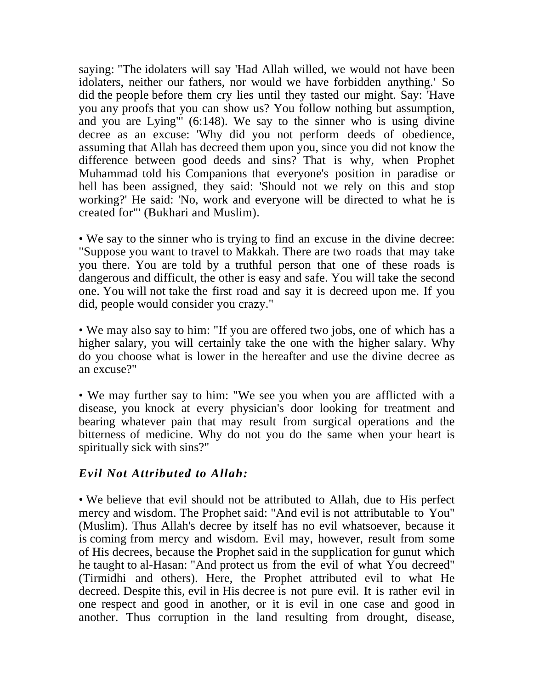saying: "The idolaters will say 'Had Allah willed, we would not have been idolaters, neither our fathers, nor would we have forbidden anything.' So did the people before them cry lies until they tasted our might. Say: 'Have you any proofs that you can show us? You follow nothing but assumption, and you are Lying"' (6:148). We say to the sinner who is using divine decree as an excuse: 'Why did you not perform deeds of obedience, assuming that Allah has decreed them upon you, since you did not know the difference between good deeds and sins? That is why, when Prophet Muhammad told his Companions that everyone's position in paradise or hell has been assigned, they said: 'Should not we rely on this and stop working?' He said: 'No, work and everyone will be directed to what he is created for"' (Bukhari and Muslim).

• We say to the sinner who is trying to find an excuse in the divine decree: "Suppose you want to travel to Makkah. There are two roads that may take you there. You are told by a truthful person that one of these roads is dangerous and difficult, the other is easy and safe. You will take the second one. You will not take the first road and say it is decreed upon me. If you did, people would consider you crazy."

• We may also say to him: "If you are offered two jobs, one of which has a higher salary, you will certainly take the one with the higher salary. Why do you choose what is lower in the hereafter and use the divine decree as an excuse?"

• We may further say to him: "We see you when you are afflicted with a disease, you knock at every physician's door looking for treatment and bearing whatever pain that may result from surgical operations and the bitterness of medicine. Why do not you do the same when your heart is spiritually sick with sins?"

#### *Evil Not Attributed to Allah:*

• We believe that evil should not be attributed to Allah, due to His perfect mercy and wisdom. The Prophet said: "And evil is not attributable to You" (Muslim). Thus Allah's decree by itself has no evil whatsoever, because it is coming from mercy and wisdom. Evil may, however, result from some of His decrees, because the Prophet said in the supplication for gunut which he taught to al-Hasan: "And protect us from the evil of what You decreed" (Tirmidhi and others). Here, the Prophet attributed evil to what He decreed. Despite this, evil in His decree is not pure evil. It is rather evil in one respect and good in another, or it is evil in one case and good in another. Thus corruption in the land resulting from drought, disease,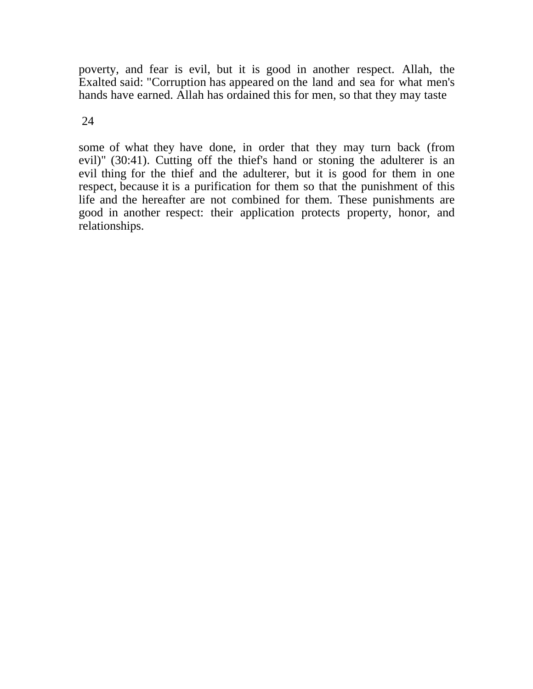poverty, and fear is evil, but it is good in another respect. Allah, the Exalted said: "Corruption has appeared on the land and sea for what men's hands have earned. Allah has ordained this for men, so that they may taste

#### 24

some of what they have done, in order that they may turn back (from evil)" (30:41). Cutting off the thief's hand or stoning the adulterer is an evil thing for the thief and the adulterer, but it is good for them in one respect, because it is a purification for them so that the punishment of this life and the hereafter are not combined for them. These punishments are good in another respect: their application protects property, honor, and relationships.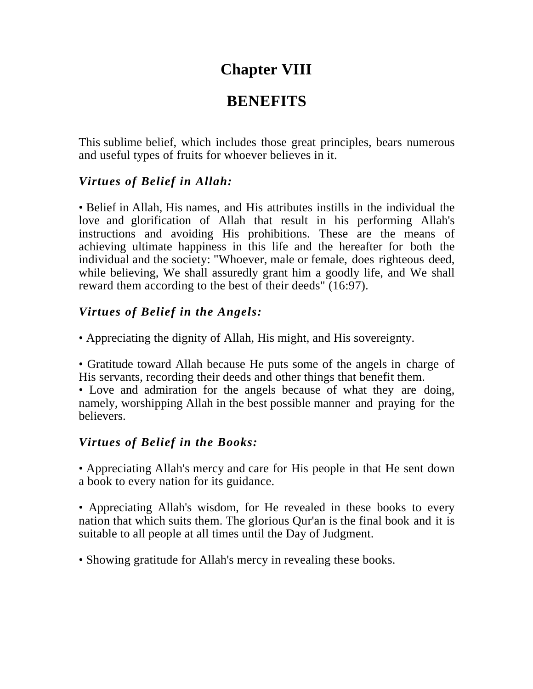# **Chapter VIII**

# **BENEFITS**

This sublime belief, which includes those great principles, bears numerous and useful types of fruits for whoever believes in it.

## *Virtues of Belief in Allah:*

• Belief in Allah, His names, and His attributes instills in the individual the love and glorification of Allah that result in his performing Allah's instructions and avoiding His prohibitions. These are the means of achieving ultimate happiness in this life and the hereafter for both the individual and the society: "Whoever, male or female, does righteous deed, while believing, We shall assuredly grant him a goodly life, and We shall reward them according to the best of their deeds" (16:97).

## *Virtues of Belief in the Angels:*

• Appreciating the dignity of Allah, His might, and His sovereignty.

• Gratitude toward Allah because He puts some of the angels in charge of His servants, recording their deeds and other things that benefit them.

• Love and admiration for the angels because of what they are doing, namely, worshipping Allah in the best possible manner and praying for the believers.

## *Virtues of Belief in the Books:*

• Appreciating Allah's mercy and care for His people in that He sent down a book to every nation for its guidance.

• Appreciating Allah's wisdom, for He revealed in these books to every nation that which suits them. The glorious Qur'an is the final book and it is suitable to all people at all times until the Day of Judgment.

• Showing gratitude for Allah's mercy in revealing these books.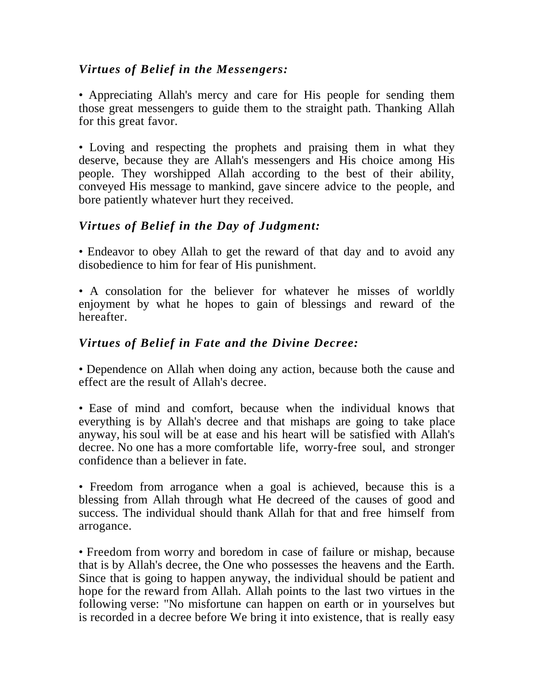#### *Virtues of Belief in the Messengers:*

• Appreciating Allah's mercy and care for His people for sending them those great messengers to guide them to the straight path. Thanking Allah for this great favor.

• Loving and respecting the prophets and praising them in what they deserve, because they are Allah's messengers and His choice among His people. They worshipped Allah according to the best of their ability, conveyed His message to mankind, gave sincere advice to the people, and bore patiently whatever hurt they received.

## *Virtues of Belief in the Day of Judgment:*

• Endeavor to obey Allah to get the reward of that day and to avoid any disobedience to him for fear of His punishment.

• A consolation for the believer for whatever he misses of worldly enjoyment by what he hopes to gain of blessings and reward of the hereafter.

#### *Virtues of Belief in Fate and the Divine Decree:*

• Dependence on Allah when doing any action, because both the cause and effect are the result of Allah's decree.

• Ease of mind and comfort, because when the individual knows that everything is by Allah's decree and that mishaps are going to take place anyway, his soul will be at ease and his heart will be satisfied with Allah's decree. No one has a more comfortable life, worry-free soul, and stronger confidence than a believer in fate.

• Freedom from arrogance when a goal is achieved, because this is a blessing from Allah through what He decreed of the causes of good and success. The individual should thank Allah for that and free himself from arrogance.

• Freedom from worry and boredom in case of failure or mishap, because that is by Allah's decree, the One who possesses the heavens and the Earth. Since that is going to happen anyway, the individual should be patient and hope for the reward from Allah. Allah points to the last two virtues in the following verse: "No misfortune can happen on earth or in yourselves but is recorded in a decree before We bring it into existence, that is really easy